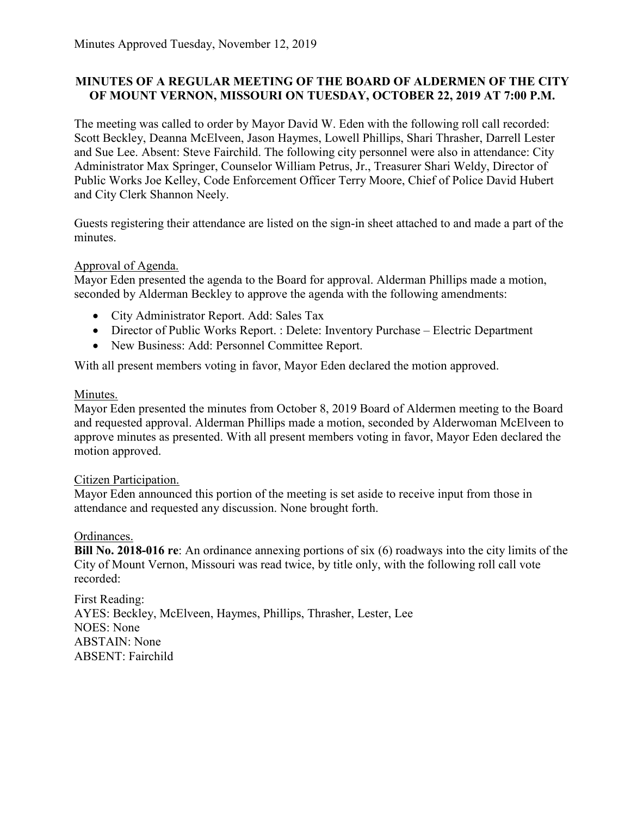### **MINUTES OF A REGULAR MEETING OF THE BOARD OF ALDERMEN OF THE CITY OF MOUNT VERNON, MISSOURI ON TUESDAY, OCTOBER 22, 2019 AT 7:00 P.M.**

The meeting was called to order by Mayor David W. Eden with the following roll call recorded: Scott Beckley, Deanna McElveen, Jason Haymes, Lowell Phillips, Shari Thrasher, Darrell Lester and Sue Lee. Absent: Steve Fairchild. The following city personnel were also in attendance: City Administrator Max Springer, Counselor William Petrus, Jr., Treasurer Shari Weldy, Director of Public Works Joe Kelley, Code Enforcement Officer Terry Moore, Chief of Police David Hubert and City Clerk Shannon Neely.

Guests registering their attendance are listed on the sign-in sheet attached to and made a part of the minutes.

### Approval of Agenda.

Mayor Eden presented the agenda to the Board for approval. Alderman Phillips made a motion, seconded by Alderman Beckley to approve the agenda with the following amendments:

- City Administrator Report. Add: Sales Tax
- Director of Public Works Report. : Delete: Inventory Purchase Electric Department
- New Business: Add: Personnel Committee Report.

With all present members voting in favor, Mayor Eden declared the motion approved.

### Minutes.

Mayor Eden presented the minutes from October 8, 2019 Board of Aldermen meeting to the Board and requested approval. Alderman Phillips made a motion, seconded by Alderwoman McElveen to approve minutes as presented. With all present members voting in favor, Mayor Eden declared the motion approved.

### Citizen Participation.

Mayor Eden announced this portion of the meeting is set aside to receive input from those in attendance and requested any discussion. None brought forth.

### Ordinances.

**Bill No. 2018-016 re**: An ordinance annexing portions of six (6) roadways into the city limits of the City of Mount Vernon, Missouri was read twice, by title only, with the following roll call vote recorded:

First Reading: AYES: Beckley, McElveen, Haymes, Phillips, Thrasher, Lester, Lee NOES: None ABSTAIN: None ABSENT: Fairchild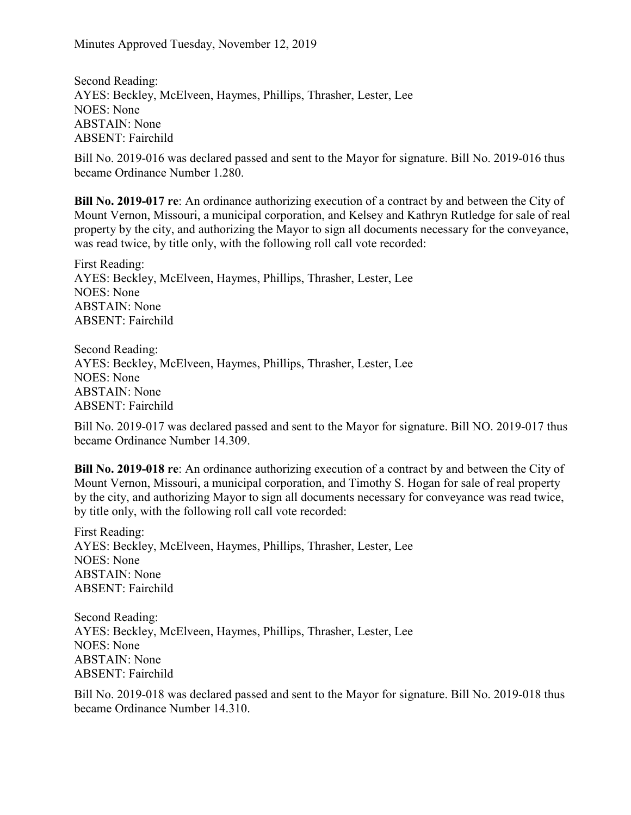Second Reading: AYES: Beckley, McElveen, Haymes, Phillips, Thrasher, Lester, Lee NOES: None ABSTAIN: None ABSENT: Fairchild

Bill No. 2019-016 was declared passed and sent to the Mayor for signature. Bill No. 2019-016 thus became Ordinance Number 1.280.

**Bill No. 2019-017 re**: An ordinance authorizing execution of a contract by and between the City of Mount Vernon, Missouri, a municipal corporation, and Kelsey and Kathryn Rutledge for sale of real property by the city, and authorizing the Mayor to sign all documents necessary for the conveyance, was read twice, by title only, with the following roll call vote recorded:

First Reading: AYES: Beckley, McElveen, Haymes, Phillips, Thrasher, Lester, Lee NOES: None ABSTAIN: None ABSENT: Fairchild

Second Reading: AYES: Beckley, McElveen, Haymes, Phillips, Thrasher, Lester, Lee NOES: None ABSTAIN: None ABSENT: Fairchild

Bill No. 2019-017 was declared passed and sent to the Mayor for signature. Bill NO. 2019-017 thus became Ordinance Number 14.309.

**Bill No. 2019-018 re**: An ordinance authorizing execution of a contract by and between the City of Mount Vernon, Missouri, a municipal corporation, and Timothy S. Hogan for sale of real property by the city, and authorizing Mayor to sign all documents necessary for conveyance was read twice, by title only, with the following roll call vote recorded:

First Reading: AYES: Beckley, McElveen, Haymes, Phillips, Thrasher, Lester, Lee NOES: None ABSTAIN: None ABSENT: Fairchild

Second Reading: AYES: Beckley, McElveen, Haymes, Phillips, Thrasher, Lester, Lee NOES: None ABSTAIN: None ABSENT: Fairchild

Bill No. 2019-018 was declared passed and sent to the Mayor for signature. Bill No. 2019-018 thus became Ordinance Number 14.310.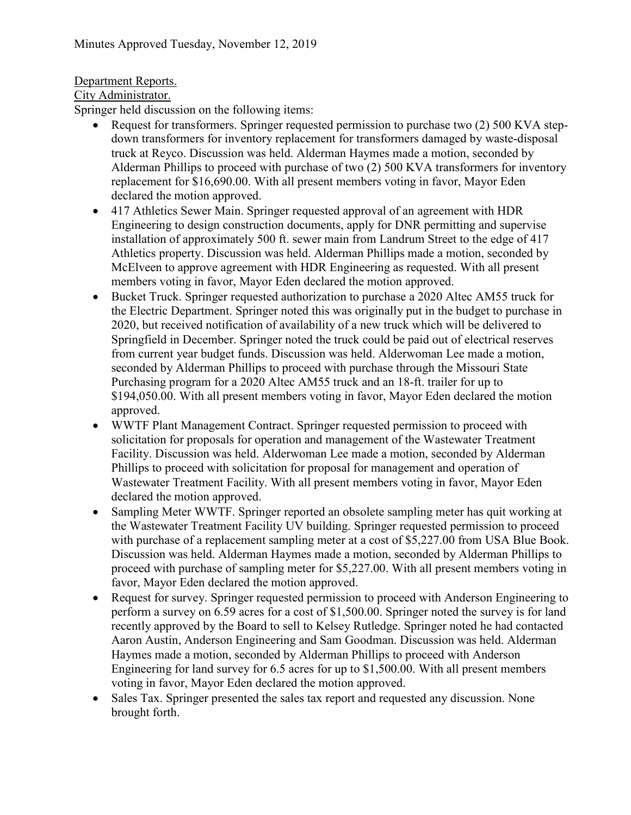# Department Reports.

City Administrator.

Springer held discussion on the following items:

- Request for transformers. Springer requested permission to purchase two (2) 500 KVA stepdown transformers for inventory replacement for transformers damaged by waste-disposal truck at Reyco. Discussion was held. Alderman Haymes made a motion, seconded by Alderman Phillips to proceed with purchase of two (2) 500 KVA transformers for inventory replacement for \$16,690.00. With all present members voting in favor, Mayor Eden declared the motion approved.
- 417 Athletics Sewer Main. Springer requested approval of an agreement with HDR Engineering to design construction documents, apply for DNR permitting and supervise installation of approximately 500 ft. sewer main from Landrum Street to the edge of 417 Athletics property. Discussion was held. Alderman Phillips made a motion, seconded by McElveen to approve agreement with HDR Engineering as requested. With all present members voting in favor, Mayor Eden declared the motion approved.
- Bucket Truck. Springer requested authorization to purchase a 2020 Altec AM55 truck for the Electric Department. Springer noted this was originally put in the budget to purchase in 2020, but received notification of availability of a new truck which will be delivered to Springfield in December. Springer noted the truck could be paid out of electrical reserves from current year budget funds. Discussion was held. Alderwoman Lee made a motion, seconded by Alderman Phillips to proceed with purchase through the Missouri State Purchasing program for a 2020 Altec AM55 truck and an 18-ft. trailer for up to \$194,050.00. With all present members voting in favor, Mayor Eden declared the motion approved.
- WWTF Plant Management Contract. Springer requested permission to proceed with solicitation for proposals for operation and management of the Wastewater Treatment Facility. Discussion was held. Alderwoman Lee made a motion, seconded by Alderman Phillips to proceed with solicitation for proposal for management and operation of Wastewater Treatment Facility. With all present members voting in favor, Mayor Eden declared the motion approved.
- Sampling Meter WWTF. Springer reported an obsolete sampling meter has quit working at the Wastewater Treatment Facility UV building. Springer requested permission to proceed with purchase of a replacement sampling meter at a cost of \$5,227.00 from USA Blue Book. Discussion was held. Alderman Haymes made a motion, seconded by Alderman Phillips to proceed with purchase of sampling meter for \$5,227.00. With all present members voting in favor, Mayor Eden declared the motion approved.
- Request for survey. Springer requested permission to proceed with Anderson Engineering to perform a survey on 6.59 acres for a cost of \$1,500.00. Springer noted the survey is for land recently approved by the Board to sell to Kelsey Rutledge. Springer noted he had contacted Aaron Austin, Anderson Engineering and Sam Goodman. Discussion was held. Alderman Haymes made a motion, seconded by Alderman Phillips to proceed with Anderson Engineering for land survey for 6.5 acres for up to \$1,500.00. With all present members voting in favor, Mayor Eden declared the motion approved.
- Sales Tax. Springer presented the sales tax report and requested any discussion. None brought forth.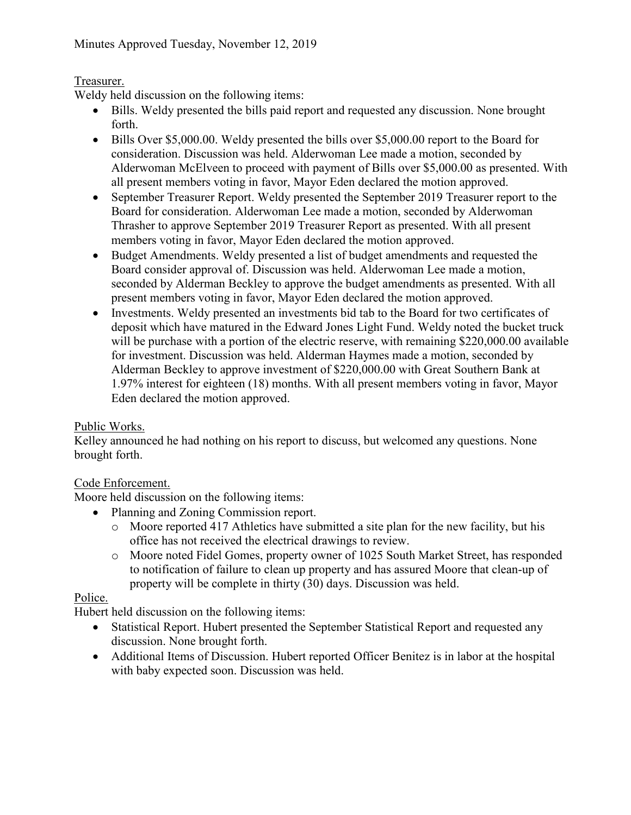## Treasurer.

Weldy held discussion on the following items:

- Bills. Weldy presented the bills paid report and requested any discussion. None brought forth.
- Bills Over \$5,000.00. Weldy presented the bills over \$5,000.00 report to the Board for consideration. Discussion was held. Alderwoman Lee made a motion, seconded by Alderwoman McElveen to proceed with payment of Bills over \$5,000.00 as presented. With all present members voting in favor, Mayor Eden declared the motion approved.
- September Treasurer Report. Weldy presented the September 2019 Treasurer report to the Board for consideration. Alderwoman Lee made a motion, seconded by Alderwoman Thrasher to approve September 2019 Treasurer Report as presented. With all present members voting in favor, Mayor Eden declared the motion approved.
- Budget Amendments. Weldy presented a list of budget amendments and requested the Board consider approval of. Discussion was held. Alderwoman Lee made a motion, seconded by Alderman Beckley to approve the budget amendments as presented. With all present members voting in favor, Mayor Eden declared the motion approved.
- Investments. Weldy presented an investments bid tab to the Board for two certificates of deposit which have matured in the Edward Jones Light Fund. Weldy noted the bucket truck will be purchase with a portion of the electric reserve, with remaining \$220,000.00 available for investment. Discussion was held. Alderman Haymes made a motion, seconded by Alderman Beckley to approve investment of \$220,000.00 with Great Southern Bank at 1.97% interest for eighteen (18) months. With all present members voting in favor, Mayor Eden declared the motion approved.

# Public Works.

Kelley announced he had nothing on his report to discuss, but welcomed any questions. None brought forth.

# Code Enforcement.

Moore held discussion on the following items:

- Planning and Zoning Commission report.
	- o Moore reported 417 Athletics have submitted a site plan for the new facility, but his office has not received the electrical drawings to review.
	- o Moore noted Fidel Gomes, property owner of 1025 South Market Street, has responded to notification of failure to clean up property and has assured Moore that clean-up of property will be complete in thirty (30) days. Discussion was held.

## Police.

Hubert held discussion on the following items:

- Statistical Report. Hubert presented the September Statistical Report and requested any discussion. None brought forth.
- Additional Items of Discussion. Hubert reported Officer Benitez is in labor at the hospital with baby expected soon. Discussion was held.